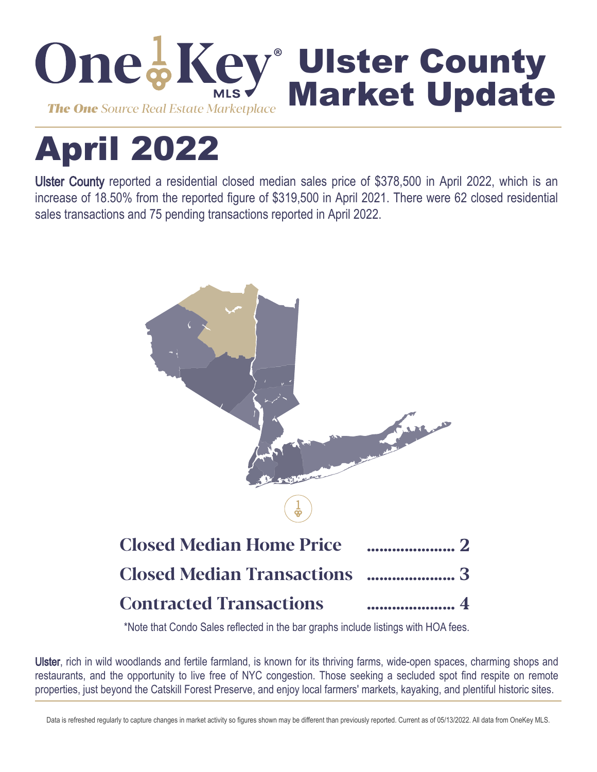

# April 2022

Ulster County reported a residential closed median sales price of \$378,500 in April 2022, which is an increase of 18.50% from the reported figure of \$319,500 in April 2021. There were 62 closed residential sales transactions and 75 pending transactions reported in April 2022.



\*Note that Condo Sales reflected in the bar graphs include listings with HOA fees.

Ulster, rich in wild woodlands and fertile farmland, is known for its thriving farms, wide-open spaces, charming shops and restaurants, and the opportunity to live free of NYC congestion. Those seeking a secluded spot find respite on remote properties, just beyond the Catskill Forest Preserve, and enjoy local farmers' markets, kayaking, and plentiful historic sites.

Data is refreshed regularly to capture changes in market activity so figures shown may be different than previously reported. Current as of 05/13/2022. All data from OneKey MLS.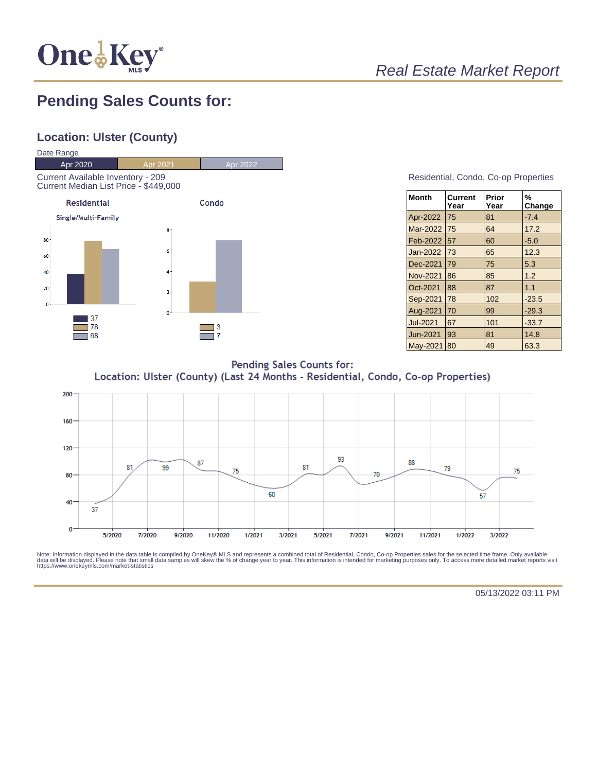

# Real Estate Market Report

## **Pending Sales Counts for:**

## **Location: Ulster (County)**



#### Residential, Condo, Co-op Properties

| <b>Month</b>    | Current<br>Year | Prior<br>Year | %<br>Change |
|-----------------|-----------------|---------------|-------------|
| Apr-2022        | 75              | 81            | $-7.4$      |
| Mar-2022        | 75              | 64            | 17.2        |
| Feb-2022        | 57              | 60            | $-5.0$      |
| Jan-2022        | 73              | 65            | 12.3        |
| Dec-2021        | 79              | 75            | 5.3         |
| Nov-2021        | 86              | 85            | 1.2         |
| Oct-2021        | 88              | 87            | 1.1         |
| Sep-2021        | 78              | 102           | $-23.5$     |
| Aug-2021        | 70              | 99            | $-29.3$     |
| <b>Jul-2021</b> | 67              | 101           | $-33.7$     |
| <b>Jun-2021</b> | 93              | 81            | 14.8        |
| May-2021        | 80              | 49            | 63.3        |

**Pending Sales Counts for:** Location: Ulster (County) (Last 24 Months - Residential, Condo, Co-op Properties)



Note: Information displayed in the data table is compiled by OneKey® MLS and represents a combined total of Residential, Condo, Co-op Properties sales for the selected time frame. Only available<br>data will be displayed. Pl

05/13/2022 03:11 PM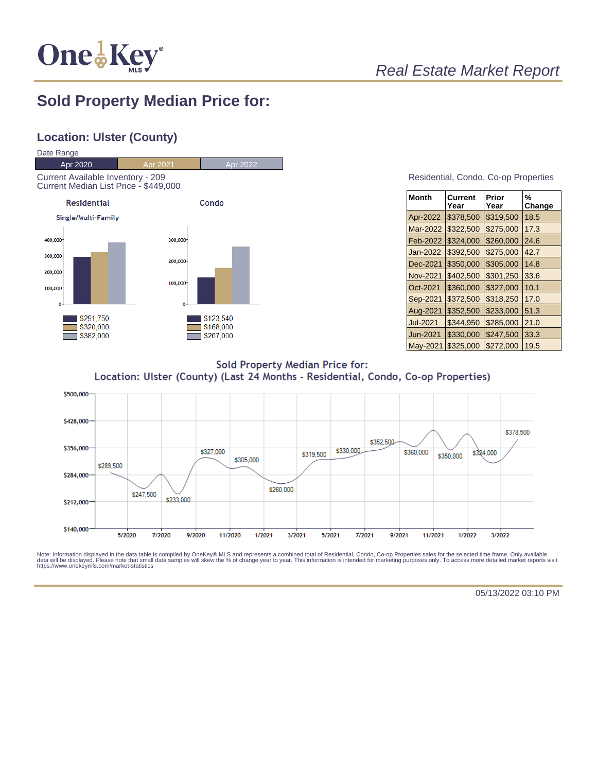

## Real Estate Market Report

## **Sold Property Median Price for:**

## **Location: Ulster (County)**



#### Residential, Condo, Co-op Properties

| <b>Month</b>    | Current<br>Year | Prior<br>Year | %<br>Change |
|-----------------|-----------------|---------------|-------------|
| Apr-2022        | \$378,500       | \$319,500     | 18.5        |
| Mar-2022        | \$322,500       | \$275,000     | 17.3        |
| Feb-2022        | \$324,000       | \$260,000     | 24.6        |
| Jan-2022        | \$392,500       | \$275,000     | 42.7        |
| Dec-2021        | \$350,000       | \$305,000     | 14.8        |
| <b>Nov-2021</b> | \$402,500       | \$301,250     | 33.6        |
| Oct-2021        | \$360,000       | \$327,000     | 10.1        |
| Sep-2021        | \$372,500       | \$318,250     | 17.0        |
| Aug-2021        | \$352,500       | \$233,000     | 51.3        |
| <b>Jul-2021</b> | \$344.950       | \$285,000     | 21.0        |
| Jun-2021        | \$330,000       | \$247,500     | 33.3        |
| May-2021        | \$325,000       | \$272,000     | 19.5        |

**Sold Property Median Price for:** Location: Ulster (County) (Last 24 Months - Residential, Condo, Co-op Properties)



Note: Information displayed in the data table is compiled by OneKey® MLS and represents a combined total of Residential, Condo, Co-op Properties sales for the selected time frame. Only available<br>data will be displayed. Pl

05/13/2022 03:10 PM